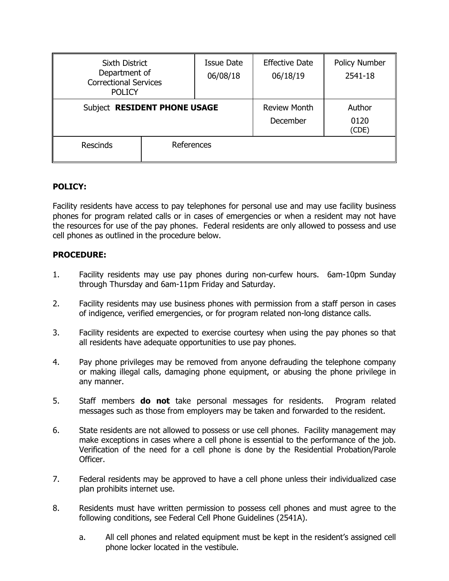| <b>Sixth District</b><br>Department of<br><b>Correctional Services</b><br><b>POLICY</b> |            | <b>Issue Date</b><br>06/08/18 | <b>Effective Date</b><br>06/18/19 | Policy Number<br>2541-18 |
|-----------------------------------------------------------------------------------------|------------|-------------------------------|-----------------------------------|--------------------------|
| Subject RESIDENT PHONE USAGE                                                            |            |                               | <b>Review Month</b><br>December   | Author<br>0120<br>(CDE)  |
| <b>Rescinds</b>                                                                         | References |                               |                                   |                          |

## **POLICY:**

Facility residents have access to pay telephones for personal use and may use facility business phones for program related calls or in cases of emergencies or when a resident may not have the resources for use of the pay phones. Federal residents are only allowed to possess and use cell phones as outlined in the procedure below.

## **PROCEDURE:**

- 1. Facility residents may use pay phones during non-curfew hours. 6am-10pm Sunday through Thursday and 6am-11pm Friday and Saturday.
- 2. Facility residents may use business phones with permission from a staff person in cases of indigence, verified emergencies, or for program related non-long distance calls.
- 3. Facility residents are expected to exercise courtesy when using the pay phones so that all residents have adequate opportunities to use pay phones.
- 4. Pay phone privileges may be removed from anyone defrauding the telephone company or making illegal calls, damaging phone equipment, or abusing the phone privilege in any manner.
- 5. Staff members **do not** take personal messages for residents. Program related messages such as those from employers may be taken and forwarded to the resident.
- 6. State residents are not allowed to possess or use cell phones. Facility management may make exceptions in cases where a cell phone is essential to the performance of the job. Verification of the need for a cell phone is done by the Residential Probation/Parole Officer.
- 7. Federal residents may be approved to have a cell phone unless their individualized case plan prohibits internet use.
- 8. Residents must have written permission to possess cell phones and must agree to the following conditions, see Federal Cell Phone Guidelines (2541A).
	- a. All cell phones and related equipment must be kept in the resident's assigned cell phone locker located in the vestibule.